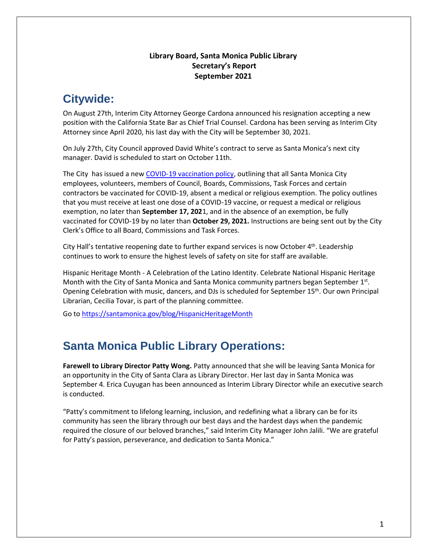#### **Library Board, Santa Monica Public Library Secretary's Report September 2021**

## **Citywide:**

On August 27th, Interim City Attorney George Cardona announced his resignation accepting a new position with the California State Bar as Chief Trial Counsel. Cardona has been serving as Interim City Attorney since April 2020, his last day with the City will be September 30, 2021.

On July 27th, City Council approved David White's contract to serve as Santa Monica's next city manager. David is scheduled to start on October 11th.

The City has issued a new [COVID-19 vaccination policy,](https://smgov365.sharepoint.com/sites/Policies2/Policies%20Document/Forms/AllItems.aspx?id=%2Fsites%2FPolicies2%2FPolicies%20Document%2FMandatory%20Vaccination%20Policy%2FMandatoryVaccinationPolicy%2DPfizerApproved%5F8%2D23%2D21%2Epdf&parent=%2Fsites%2FPolicies2%2FPolicies%20Document%2FMandatory%20Vaccination%20Policy) outlining that all Santa Monica City employees, volunteers, members of Council, Boards, Commissions, Task Forces and certain contractors be vaccinated for COVID-19, absent a medical or religious exemption. The policy outlines that you must receive at least one dose of a COVID-19 vaccine, or request a medical or religious exemption, no later than **September 17, 202**1, and in the absence of an exemption, be fully vaccinated for COVID-19 by no later than **October 29, 2021.** Instructions are being sent out by the City Clerk's Office to all Board, Commissions and Task Forces.

City Hall's tentative reopening date to further expand services is now October 4<sup>th</sup>. Leadership continues to work to ensure the highest levels of safety on site for staff are available.

Hispanic Heritage Month - A Celebration of the Latino Identity. Celebrate National Hispanic Heritage Month with the City of Santa Monica and Santa Monica community partners began September 1st. Opening Celebration with music, dancers, and DJs is scheduled for September 15<sup>th</sup>. Our own Principal Librarian, Cecilia Tovar, is part of the planning committee.

Go to<https://santamonica.gov/blog/HispanicHeritageMonth>

## **Santa Monica Public Library Operations:**

**Farewell to Library Director Patty Wong.** Patty announced that she will be leaving Santa Monica for an opportunity in the City of Santa Clara as Library Director. Her last day in Santa Monica was September 4. Erica Cuyugan has been announced as Interim Library Director while an executive search is conducted.

"Patty's commitment to lifelong learning, inclusion, and redefining what a library can be for its community has seen the library through our best days and the hardest days when the pandemic required the closure of our beloved branches," said Interim City Manager John Jalili. "We are grateful for Patty's passion, perseverance, and dedication to Santa Monica."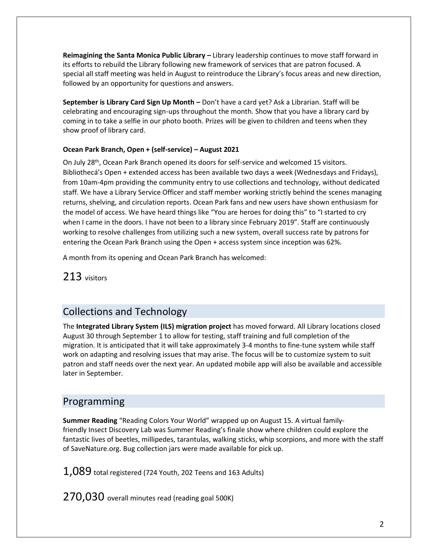**Reimagining the Santa Monica Public Library –** Library leadership continues to move staff forward in its efforts to rebuild the Library following new framework of services that are patron focused. A special all staff meeting was held in August to reintroduce the Library's focus areas and new direction, followed by an opportunity for questions and answers.

**September is Library Card Sign Up Month –** Don't have a card yet? Ask a Librarian. Staff will be celebrating and encouraging sign-ups throughout the month. Show that you have a library card by coming in to take a selfie in our photo booth. Prizes will be given to children and teens when they show proof of library card.

#### **Ocean Park Branch, Open + (self-service) – August 2021**

On July 28<sup>th</sup>, Ocean Park Branch opened its doors for self-service and welcomed 15 visitors. Bibliothecá's Open + extended access has been available two days a week (Wednesdays and Fridays), from 10am-4pm providing the community entry to use collections and technology, without dedicated staff. We have a Library Service Officer and staff member working strictly behind the scenes managing returns, shelving, and circulation reports. Ocean Park fans and new users have shown enthusiasm for the model of access. We have heard things like "You are heroes for doing this" to "I started to cry when I came in the doors. I have not been to a library since February 2019". Staff are continuously working to resolve challenges from utilizing such a new system, overall success rate by patrons for entering the Ocean Park Branch using the Open + access system since inception was 62%.

A month from its opening and Ocean Park Branch has welcomed:

213 visitors

### Collections and Technology

The **Integrated Library System (ILS) migration project** has moved forward. All Library locations closed August 30 through September 1 to allow for testing, staff training and full completion of the migration. It is anticipated that it will take approximately 3-4 months to fine-tune system while staff work on adapting and resolving issues that may arise. The focus will be to customize system to suit patron and staff needs over the next year. An updated mobile app will also be available and accessible later in September.

#### Programming

**Summer Reading** "Reading Colors Your World" wrapped up on August 15. A virtual familyfriendly Insect Discovery Lab was Summer Reading's finale show where children could explore the fantastic lives of beetles, millipedes, tarantulas, walking sticks, whip scorpions, and more with the staff of SaveNature.org. Bug collection jars were made available for pick up.

 $1,089$  total registered (724 Youth, 202 Teens and 163 Adults)

270,030 overall minutes read (reading goal 500K)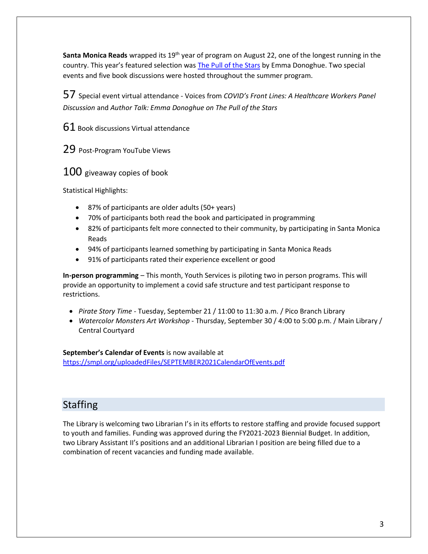**Santa Monica Reads** wrapped its 19th year of program on August 22, one of the longest running in the country. This year's featured selection was [The Pull of the Stars](https://smpl.bibliocommons.com/item/show/791407066) by Emma Donoghue. Two special events and five book discussions were hosted throughout the summer program.

57 Special event virtual attendance - Voices from *COVID's Front Lines: A Healthcare Workers Panel Discussion* and *Author Talk: Emma Donoghue on The Pull of the Stars*

61 Book discussions Virtual attendance

29 Post-Program YouTube Views

100 giveaway copies of book

Statistical Highlights:

- 87% of participants are older adults (50+ years)
- 70% of participants both read the book and participated in programming
- 82% of participants felt more connected to their community, by participating in Santa Monica Reads
- 94% of participants learned something by participating in Santa Monica Reads
- 91% of participants rated their experience excellent or good

**In-person programming** – This month, Youth Services is piloting two in person programs. This will provide an opportunity to implement a covid safe structure and test participant response to restrictions.

- *Pirate Story Time -* Tuesday, September 21 / 11:00 to 11:30 a.m. / Pico Branch Library
- *Watercolor Monsters Art Workshop* Thursday, September 30 / 4:00 to 5:00 p.m. / Main Library / Central Courtyard

**September's Calendar of Events** is now available at

<https://smpl.org/uploadedFiles/SEPTEMBER2021CalendarOfEvents.pdf>

### **Staffing**

The Library is welcoming two Librarian I's in its efforts to restore staffing and provide focused support to youth and families. Funding was approved during the FY2021-2023 Biennial Budget. In addition, two Library Assistant II's positions and an additional Librarian I position are being filled due to a combination of recent vacancies and funding made available.